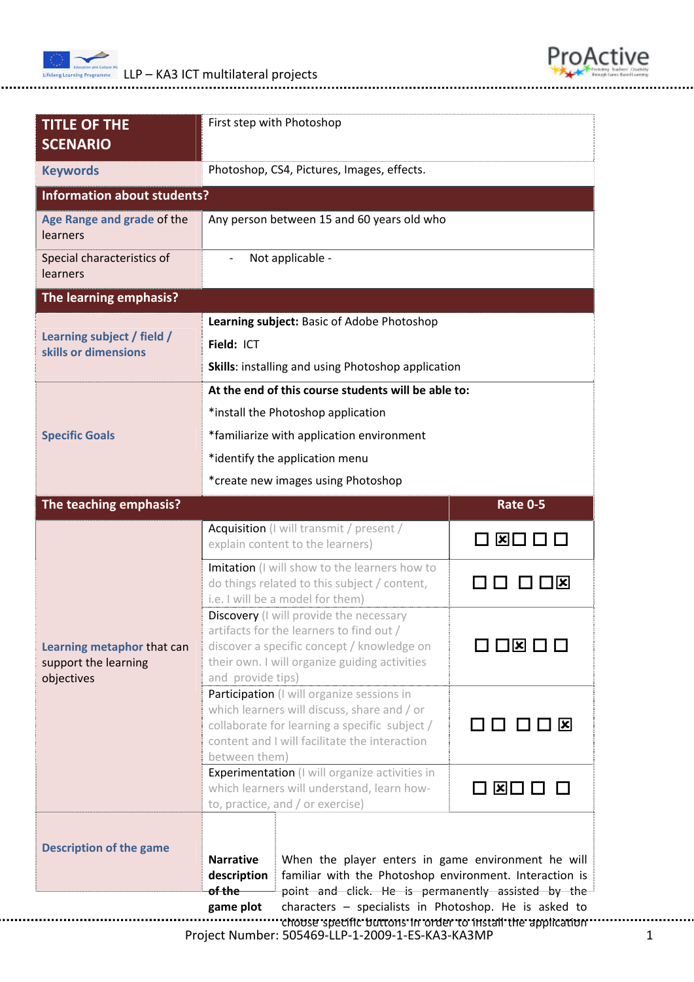

........



| <b>TITLE OF THE</b><br><b>SCENARIO</b>                           | First step with Photoshop                                                                                                                                                                                                         |                                                   |  |
|------------------------------------------------------------------|-----------------------------------------------------------------------------------------------------------------------------------------------------------------------------------------------------------------------------------|---------------------------------------------------|--|
| <b>Keywords</b>                                                  | Photoshop, CS4, Pictures, Images, effects.                                                                                                                                                                                        |                                                   |  |
| <b>Information about students?</b>                               |                                                                                                                                                                                                                                   |                                                   |  |
| Age Range and grade of the<br>learners                           | Any person between 15 and 60 years old who                                                                                                                                                                                        |                                                   |  |
| Special characteristics of<br>learners                           | Not applicable -                                                                                                                                                                                                                  |                                                   |  |
| The learning emphasis?                                           |                                                                                                                                                                                                                                   |                                                   |  |
|                                                                  | Learning subject: Basic of Adobe Photoshop                                                                                                                                                                                        |                                                   |  |
| Learning subject / field /<br>skills or dimensions               | Field: ICT                                                                                                                                                                                                                        |                                                   |  |
|                                                                  | <b>Skills:</b> installing and using Photoshop application                                                                                                                                                                         |                                                   |  |
|                                                                  | At the end of this course students will be able to:                                                                                                                                                                               |                                                   |  |
|                                                                  | *install the Photoshop application                                                                                                                                                                                                |                                                   |  |
| <b>Specific Goals</b>                                            | *familiarize with application environment                                                                                                                                                                                         |                                                   |  |
|                                                                  | *identify the application menu                                                                                                                                                                                                    |                                                   |  |
|                                                                  | *create new images using Photoshop                                                                                                                                                                                                |                                                   |  |
| The teaching emphasis?                                           |                                                                                                                                                                                                                                   | <b>Rate 0-5</b>                                   |  |
| Learning metaphor that can<br>support the learning<br>objectives | Acquisition (I will transmit / present /<br>explain content to the learners)                                                                                                                                                      | <b>E □ □ □</b>                                    |  |
|                                                                  | Imitation (I will show to the learners how to<br>do things related to this subject / content,<br>i.e. I will be a model for them)                                                                                                 | ואן                                               |  |
|                                                                  | Discovery (I will provide the necessary<br>artifacts for the learners to find out /<br>discover a specific concept / knowledge on<br>their own. I will organize guiding activities                                                | $\square$ $\square$ $\square$ $\square$ $\square$ |  |
|                                                                  | and provide tips)<br>Participation (I will organize sessions in<br>which learners will discuss, share and / or<br>collaborate for learning a specific subject /<br>content and I will facilitate the interaction<br>between them) | 0000x                                             |  |
|                                                                  | Experimentation (I will organize activities in<br>which learners will understand, learn how-<br>to, practice, and / or exercise)                                                                                                  | □ ⊠□ □ □                                          |  |
|                                                                  |                                                                                                                                                                                                                                   |                                                   |  |
| <b>Description of the game</b>                                   | <b>Narrative</b><br>When the player enters in game environment he will<br>familiar with the Photoshop environment. Interaction is<br>description<br><del>of the</del><br>point and click. He is permanently assisted by the       |                                                   |  |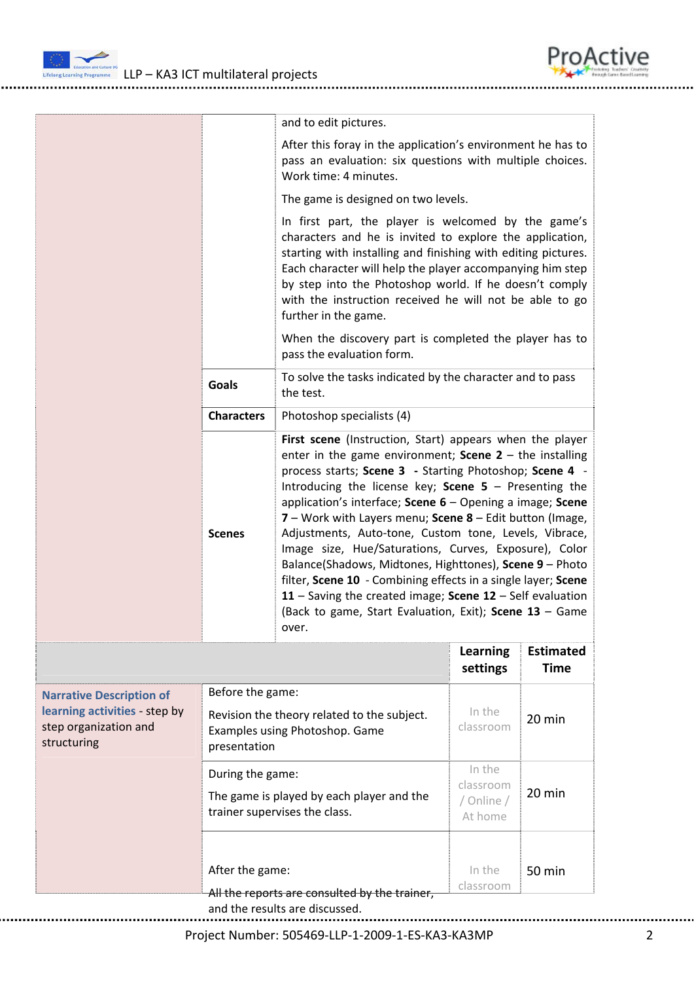

Lutetong Learning Programme LLP – KA3 ICT multilateral projects

|                                                                                                          |                                                                                               | and to edit pictures.                                                                                                                                                                                                                                                                                                                                                                                                                                                                                                                                                                                                                                                                     |                                    |                                 |
|----------------------------------------------------------------------------------------------------------|-----------------------------------------------------------------------------------------------|-------------------------------------------------------------------------------------------------------------------------------------------------------------------------------------------------------------------------------------------------------------------------------------------------------------------------------------------------------------------------------------------------------------------------------------------------------------------------------------------------------------------------------------------------------------------------------------------------------------------------------------------------------------------------------------------|------------------------------------|---------------------------------|
|                                                                                                          |                                                                                               | After this foray in the application's environment he has to<br>pass an evaluation: six questions with multiple choices.<br>Work time: 4 minutes.                                                                                                                                                                                                                                                                                                                                                                                                                                                                                                                                          |                                    |                                 |
|                                                                                                          |                                                                                               | The game is designed on two levels.                                                                                                                                                                                                                                                                                                                                                                                                                                                                                                                                                                                                                                                       |                                    |                                 |
|                                                                                                          |                                                                                               | In first part, the player is welcomed by the game's<br>characters and he is invited to explore the application,<br>starting with installing and finishing with editing pictures.<br>Each character will help the player accompanying him step<br>by step into the Photoshop world. If he doesn't comply<br>with the instruction received he will not be able to go<br>further in the game.                                                                                                                                                                                                                                                                                                |                                    |                                 |
|                                                                                                          |                                                                                               | When the discovery part is completed the player has to<br>pass the evaluation form.                                                                                                                                                                                                                                                                                                                                                                                                                                                                                                                                                                                                       |                                    |                                 |
|                                                                                                          | Goals                                                                                         | To solve the tasks indicated by the character and to pass<br>the test.                                                                                                                                                                                                                                                                                                                                                                                                                                                                                                                                                                                                                    |                                    |                                 |
|                                                                                                          | <b>Characters</b>                                                                             | Photoshop specialists (4)                                                                                                                                                                                                                                                                                                                                                                                                                                                                                                                                                                                                                                                                 |                                    |                                 |
|                                                                                                          | <b>Scenes</b>                                                                                 | enter in the game environment; Scene $2 -$ the installing<br>process starts; Scene 3 - Starting Photoshop; Scene 4 -<br>Introducing the license key; Scene $5$ – Presenting the<br>application's interface; Scene 6 - Opening a image; Scene<br>7 - Work with Layers menu; Scene 8 - Edit button (Image,<br>Adjustments, Auto-tone, Custom tone, Levels, Vibrace,<br>Image size, Hue/Saturations, Curves, Exposure), Color<br>Balance(Shadows, Midtones, Highttones), Scene 9 - Photo<br>filter, Scene 10 - Combining effects in a single layer; Scene<br>11 - Saving the created image; Scene $12$ - Self evaluation<br>(Back to game, Start Evaluation, Exit); Scene 13 - Game<br>over. |                                    |                                 |
|                                                                                                          |                                                                                               |                                                                                                                                                                                                                                                                                                                                                                                                                                                                                                                                                                                                                                                                                           | <b>Learning</b><br>settings        | <b>Estimated</b><br><b>Time</b> |
| <b>Narrative Description of</b><br>learning activities - step by<br>step organization and<br>structuring | Before the game:                                                                              |                                                                                                                                                                                                                                                                                                                                                                                                                                                                                                                                                                                                                                                                                           |                                    |                                 |
|                                                                                                          | Revision the theory related to the subject.<br>Examples using Photoshop. Game<br>presentation |                                                                                                                                                                                                                                                                                                                                                                                                                                                                                                                                                                                                                                                                                           | In the<br>classroom                | 20 min                          |
|                                                                                                          |                                                                                               | During the game:                                                                                                                                                                                                                                                                                                                                                                                                                                                                                                                                                                                                                                                                          |                                    |                                 |
|                                                                                                          | The game is played by each player and the<br>trainer supervises the class.                    |                                                                                                                                                                                                                                                                                                                                                                                                                                                                                                                                                                                                                                                                                           | classroom<br>/ Online /<br>At home | 20 min                          |
|                                                                                                          |                                                                                               |                                                                                                                                                                                                                                                                                                                                                                                                                                                                                                                                                                                                                                                                                           |                                    |                                 |

.........